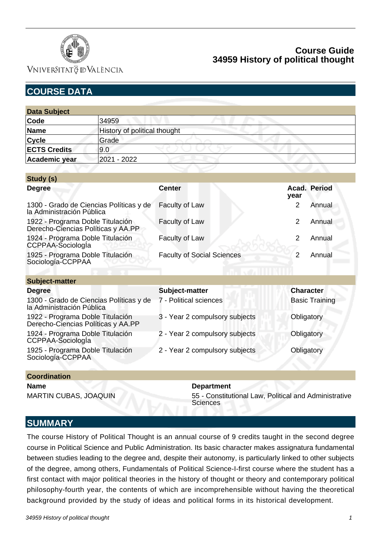

VNIVERSITATÖ ID VALÈNCIA

| <b>COURSE DATA</b>                                                     |                              |                                   |                          |  |  |  |
|------------------------------------------------------------------------|------------------------------|-----------------------------------|--------------------------|--|--|--|
|                                                                        |                              |                                   |                          |  |  |  |
| <b>Data Subject</b>                                                    |                              |                                   |                          |  |  |  |
| Code                                                                   | 34959                        |                                   |                          |  |  |  |
| <b>Name</b>                                                            | History of political thought |                                   |                          |  |  |  |
| <b>Cycle</b>                                                           | Grade                        |                                   |                          |  |  |  |
| <b>ECTS Credits</b>                                                    | 9.0                          |                                   |                          |  |  |  |
| Academic year                                                          | 2021 - 2022                  |                                   |                          |  |  |  |
|                                                                        |                              |                                   |                          |  |  |  |
| Study (s)                                                              |                              |                                   |                          |  |  |  |
| <b>Degree</b>                                                          |                              | <b>Center</b>                     | Acad. Period<br>year     |  |  |  |
| 1300 - Grado de Ciencias Políticas y de<br>la Administración Pública   |                              | Faculty of Law                    | 2<br>Annual              |  |  |  |
| 1922 - Programa Doble Titulación<br>Derecho-Ciencias Políticas y AA.PP |                              | Faculty of Law                    | 2<br>Annual              |  |  |  |
| 1924 - Programa Doble Titulación<br>CCPPAA-Sociología                  |                              | Faculty of Law                    | 2<br>Annual              |  |  |  |
| 1925 - Programa Doble Titulación<br>Sociología-CCPPAA                  |                              | <b>Faculty of Social Sciences</b> | $\overline{2}$<br>Annual |  |  |  |
| <b>Subject-matter</b>                                                  |                              |                                   |                          |  |  |  |
| <b>Degree</b>                                                          |                              | Subject-matter                    | <b>Character</b>         |  |  |  |
| 1300 - Grado de Ciencias Políticas y de<br>la Administración Pública   |                              | 7 - Political sciences            | <b>Basic Training</b>    |  |  |  |
| 1922 - Programa Doble Titulación<br>Derecho-Ciencias Políticas y AA.PP |                              | 3 - Year 2 compulsory subjects    | Obligatory               |  |  |  |
| 1924 - Programa Doble Titulación<br>CCPPAA-SociologÍa                  |                              | 2 - Year 2 compulsory subjects    | Obligatory               |  |  |  |
| 1925 - Programa Doble Titulación<br>Sociología-CCPPAA                  |                              | 2 - Year 2 compulsory subjects    | Obligatory               |  |  |  |

#### **Coordination**

**Name Department** 

MARTIN CUBAS, JOAQUIN 55 - Constitutional Law, Political and Administrative **Sciences** 

## **SUMMARY**

The course History of Political Thought is an annual course of 9 credits taught in the second degree course in Political Science and Public Administration. Its basic character makes assignatura fundamental between studies leading to the degree and, despite their autonomy, is particularly linked to other subjects of the degree, among others, Fundamentals of Political Science-I-first course where the student has a first contact with major political theories in the history of thought or theory and contemporary political philosophy-fourth year, the contents of which are incomprehensible without having the theoretical background provided by the study of ideas and political forms in its historical development.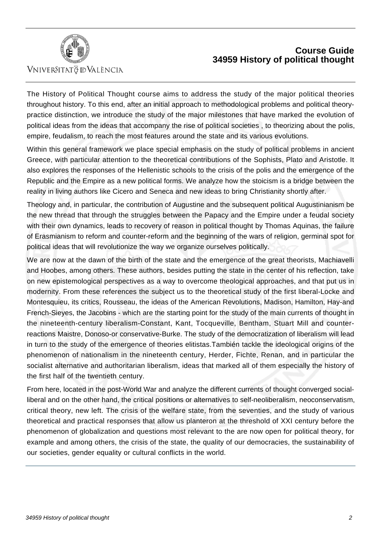

## VNIVERSITATÖ ID VALÈNCIA

# **Course Guide 34959 History of political thought**

The History of Political Thought course aims to address the study of the major political theories throughout history. To this end, after an initial approach to methodological problems and political theorypractice distinction, we introduce the study of the major milestones that have marked the evolution of political ideas from the ideas that accompany the rise of political societies , to theorizing about the polis, empire, feudalism, to reach the most features around the state and its various evolutions.

Within this general framework we place special emphasis on the study of political problems in ancient Greece, with particular attention to the theoretical contributions of the Sophists, Plato and Aristotle. It also explores the responses of the Hellenistic schools to the crisis of the polis and the emergence of the Republic and the Empire as a new political forms. We analyze how the stoicism is a bridge between the reality in living authors like Cicero and Seneca and new ideas to bring Christianity shortly after.

Theology and, in particular, the contribution of Augustine and the subsequent political Augustinianism be the new thread that through the struggles between the Papacy and the Empire under a feudal society with their own dynamics, leads to recovery of reason in political thought by Thomas Aquinas, the failure of Erasmianism to reform and counter-reform and the beginning of the wars of religion, germinal spot for political ideas that will revolutionize the way we organize ourselves politically.

We are now at the dawn of the birth of the state and the emergence of the great theorists, Machiavelli and Hoobes, among others. These authors, besides putting the state in the center of his reflection, take on new epistemological perspectives as a way to overcome theological approaches, and that put us in modernity. From these references the subject us to the theoretical study of the first liberal-Locke and Montesquieu, its critics, Rousseau, the ideas of the American Revolutions, Madison, Hamilton, Hay-and French-Sieyes, the Jacobins - which are the starting point for the study of the main currents of thought in the nineteenth-century liberalism-Constant, Kant, Tocqueville, Bentham, Stuart Mill and counterreactions Maistre, Donoso-or conservative-Burke. The study of the democratization of liberalism will lead in turn to the study of the emergence of theories elitistas.También tackle the ideological origins of the phenomenon of nationalism in the nineteenth century, Herder, Fichte, Renan, and in particular the socialist alternative and authoritarian liberalism, ideas that marked all of them especially the history of the first half of the twentieth century.

From here, located in the post-World War and analyze the different currents of thought converged socialliberal and on the other hand, the critical positions or alternatives to self-neoliberalism, neoconservatism, critical theory, new left. The crisis of the welfare state, from the seventies, and the study of various theoretical and practical responses that allow us planteron at the threshold of XXI century before the phenomenon of globalization and questions most relevant to the are now open for political theory, for example and among others, the crisis of the state, the quality of our democracies, the sustainability of our societies, gender equality or cultural conflicts in the world.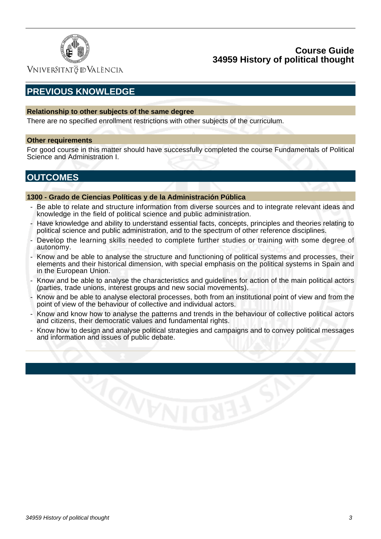

VNIVERSITATÖ IDVALÈNCIA

# **PREVIOUS KNOWLEDGE**

#### **Relationship to other subjects of the same degree**

There are no specified enrollment restrictions with other subjects of the curriculum.

#### **Other requirements**

For good course in this matter should have successfully completed the course Fundamentals of Political Science and Administration I.

# **OUTCOMES**

#### **1300 - Grado de Ciencias Políticas y de la Administración Pública**

**ACTER** 

- Be able to relate and structure information from diverse sources and to integrate relevant ideas and knowledge in the field of political science and public administration.
- Have knowledge and ability to understand essential facts, concepts, principles and theories relating to political science and public administration, and to the spectrum of other reference disciplines.
- Develop the learning skills needed to complete further studies or training with some degree of autonomy.
- Know and be able to analyse the structure and functioning of political systems and processes, their elements and their historical dimension, with special emphasis on the political systems in Spain and in the European Union.
- Know and be able to analyse the characteristics and guidelines for action of the main political actors (parties, trade unions, interest groups and new social movements).
- Know and be able to analyse electoral processes, both from an institutional point of view and from the point of view of the behaviour of collective and individual actors.
- Know and know how to analyse the patterns and trends in the behaviour of collective political actors and citizens, their democratic values and fundamental rights.
- Know how to design and analyse political strategies and campaigns and to convey political messages and information and issues of public debate.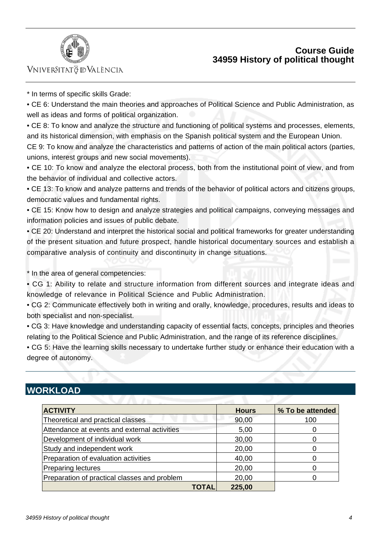



## VNIVERSITATÖ IDVALÈNCIA

\* In terms of specific skills Grade:

• CE 6: Understand the main theories and approaches of Political Science and Public Administration, as well as ideas and forms of political organization.

• CE 8: To know and analyze the structure and functioning of political systems and processes, elements, and its historical dimension, with emphasis on the Spanish political system and the European Union.

CE 9: To know and analyze the characteristics and patterns of action of the main political actors (parties, unions, interest groups and new social movements).

• CE 10: To know and analyze the electoral process, both from the institutional point of view, and from the behavior of individual and collective actors.

• CE 13: To know and analyze patterns and trends of the behavior of political actors and citizens groups, democratic values and fundamental rights.

• CE 15: Know how to design and analyze strategies and political campaigns, conveying messages and information policies and issues of public debate.

• CE 20: Understand and interpret the historical social and political frameworks for greater understanding of the present situation and future prospect, handle historical documentary sources and establish a comparative analysis of continuity and discontinuity in change situations.

\* In the area of general competencies:

• CG 1: Ability to relate and structure information from different sources and integrate ideas and knowledge of relevance in Political Science and Public Administration.

• CG 2: Communicate effectively both in writing and orally, knowledge, procedures, results and ideas to both specialist and non-specialist.

• CG 3: Have knowledge and understanding capacity of essential facts, concepts, principles and theories relating to the Political Science and Public Administration, and the range of its reference disciplines.

• CG 5: Have the learning skills necessary to undertake further study or enhance their education with a degree of autonomy.

# **WORKLOAD**

| <b>ACTIVITY</b>                              |       | <b>Hours</b> | % To be attended |
|----------------------------------------------|-------|--------------|------------------|
| Theoretical and practical classes            |       | 90,00        | 100              |
| Attendance at events and external activities |       | 5,00         |                  |
| Development of individual work               | 30,00 |              |                  |
| Study and independent work                   |       | 20,00        |                  |
| Preparation of evaluation activities         |       | 40,00        |                  |
| <b>Preparing lectures</b>                    |       | 20,00        |                  |
| Preparation of practical classes and problem |       | 20,00        |                  |
|                                              | TOTAL | 225,00       |                  |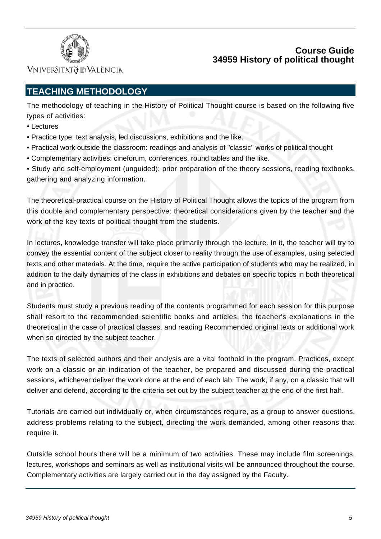

VNIVERSITATÖ ID VALÈNCIA

# **TEACHING METHODOLOGY**

The methodology of teaching in the History of Political Thought course is based on the following five types of activities:

- Lectures
- Practice type: text analysis, led discussions, exhibitions and the like.
- Practical work outside the classroom: readings and analysis of "classic" works of political thought
- Complementary activities: cineforum, conferences, round tables and the like.

• Study and self-employment (unguided): prior preparation of the theory sessions, reading textbooks, gathering and analyzing information.

The theoretical-practical course on the History of Political Thought allows the topics of the program from this double and complementary perspective: theoretical considerations given by the teacher and the work of the key texts of political thought from the students.

In lectures, knowledge transfer will take place primarily through the lecture. In it, the teacher will try to convey the essential content of the subject closer to reality through the use of examples, using selected texts and other materials. At the time, require the active participation of students who may be realized, in addition to the daily dynamics of the class in exhibitions and debates on specific topics in both theoretical and in practice.

Students must study a previous reading of the contents programmed for each session for this purpose shall resort to the recommended scientific books and articles, the teacher's explanations in the theoretical in the case of practical classes, and reading Recommended original texts or additional work when so directed by the subject teacher.

The texts of selected authors and their analysis are a vital foothold in the program. Practices, except work on a classic or an indication of the teacher, be prepared and discussed during the practical sessions, whichever deliver the work done at the end of each lab. The work, if any, on a classic that will deliver and defend, according to the criteria set out by the subject teacher at the end of the first half.

Tutorials are carried out individually or, when circumstances require, as a group to answer questions, address problems relating to the subject, directing the work demanded, among other reasons that require it.

Outside school hours there will be a minimum of two activities. These may include film screenings, lectures, workshops and seminars as well as institutional visits will be announced throughout the course. Complementary activities are largely carried out in the day assigned by the Faculty.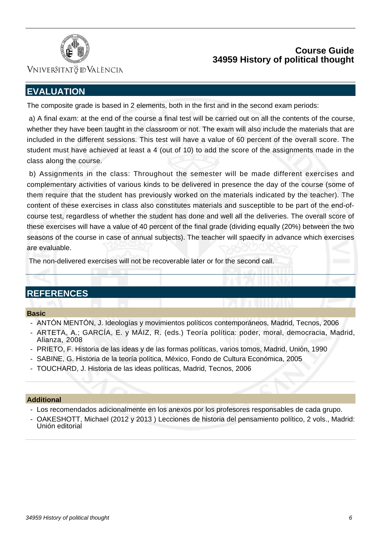



## Vniver§itatğ dValència

# **EVALUATION**

The composite grade is based in 2 elements, both in the first and in the second exam periods:

 a) A final exam: at the end of the course a final test will be carried out on all the contents of the course, whether they have been taught in the classroom or not. The exam will also include the materials that are included in the different sessions. This test will have a value of 60 percent of the overall score. The student must have achieved at least a 4 (out of 10) to add the score of the assignments made in the class along the course.

 b) Assignments in the class: Throughout the semester will be made different exercises and complementary activities of various kinds to be delivered in presence the day of the course (some of them require that the student has previously worked on the materials indicated by the teacher). The content of these exercises in class also constitutes materials and susceptible to be part of the end-ofcourse test, regardless of whether the student has done and well all the deliveries. The overall score of these exercises will have a value of 40 percent of the final grade (dividing equally (20%) between the two seasons of the course in case of annual subjects). The teacher will spaecify in advance which exercises are evaluable.

The non-delivered exercises will not be recoverable later or for the second call.

# **REFERENCES**

### **Basic**

- ANTÓN MENTÓN, J. Ideologías y movimientos políticos contemporáneos, Madrid, Tecnos, 2006
- ARTETA, A.; GARCÍA, E. y MÁIZ, R. (eds.) Teoría política: poder, moral, democracia, Madrid, Alianza, 2008
- PRIETO, F. Historia de las ideas y de las formas políticas, varios tomos, Madrid, Unión, 1990
- SABINE, G. Historia de la teoría política, México, Fondo de Cultura Económica, 2005
- TOUCHARD, J. Historia de las ideas políticas, Madrid, Tecnos, 2006

#### **Additional**

- Los recomendados adicionalmente en los anexos por los profesores responsables de cada grupo.
- OAKESHOTT, Michael (2012 y 2013 ) Lecciones de historia del pensamiento político, 2 vols., Madrid: Unión editorial